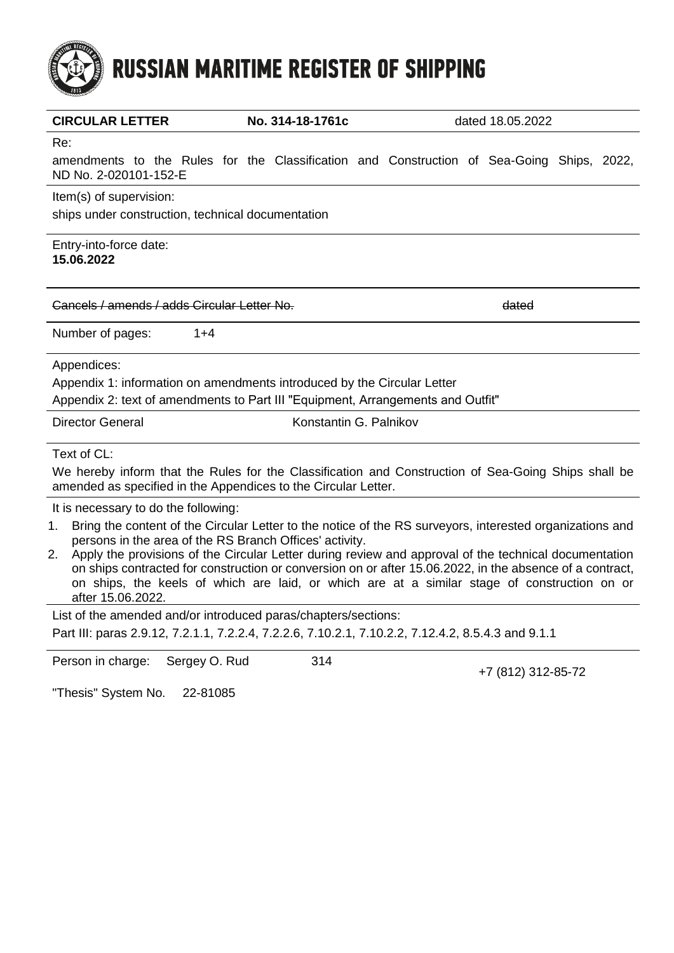# **RUSSIAN MARITIME REGISTER OF SHIPPING**

| <b>CIRCULAR LETTER</b>                                                                                                                                                                                                                                                                                                                                                                                                                                                                                                                                            | No. 314-18-1761c       |  | dated 18.05.2022 |  |  |
|-------------------------------------------------------------------------------------------------------------------------------------------------------------------------------------------------------------------------------------------------------------------------------------------------------------------------------------------------------------------------------------------------------------------------------------------------------------------------------------------------------------------------------------------------------------------|------------------------|--|------------------|--|--|
| Re:<br>amendments to the Rules for the Classification and Construction of Sea-Going Ships, 2022,<br>ND No. 2-020101-152-E                                                                                                                                                                                                                                                                                                                                                                                                                                         |                        |  |                  |  |  |
| Item(s) of supervision:<br>ships under construction, technical documentation                                                                                                                                                                                                                                                                                                                                                                                                                                                                                      |                        |  |                  |  |  |
| Entry-into-force date:<br>15.06.2022                                                                                                                                                                                                                                                                                                                                                                                                                                                                                                                              |                        |  |                  |  |  |
| Cancels / amends / adds Circular Letter No.                                                                                                                                                                                                                                                                                                                                                                                                                                                                                                                       |                        |  | dated            |  |  |
| $1+4$<br>Number of pages:                                                                                                                                                                                                                                                                                                                                                                                                                                                                                                                                         |                        |  |                  |  |  |
| Appendices:<br>Appendix 1: information on amendments introduced by the Circular Letter<br>Appendix 2: text of amendments to Part III "Equipment, Arrangements and Outfit"                                                                                                                                                                                                                                                                                                                                                                                         |                        |  |                  |  |  |
| <b>Director General</b>                                                                                                                                                                                                                                                                                                                                                                                                                                                                                                                                           | Konstantin G. Palnikov |  |                  |  |  |
| Text of CL:<br>We hereby inform that the Rules for the Classification and Construction of Sea-Going Ships shall be<br>amended as specified in the Appendices to the Circular Letter.                                                                                                                                                                                                                                                                                                                                                                              |                        |  |                  |  |  |
| It is necessary to do the following:<br>Bring the content of the Circular Letter to the notice of the RS surveyors, interested organizations and<br>1.<br>persons in the area of the RS Branch Offices' activity.<br>Apply the provisions of the Circular Letter during review and approval of the technical documentation<br>2.<br>on ships contracted for construction or conversion on or after 15.06.2022, in the absence of a contract,<br>on ships, the keels of which are laid, or which are at a similar stage of construction on or<br>after 15.06.2022. |                        |  |                  |  |  |

List of the amended and/or introduced paras/chapters/sections: Part III: paras 2.9.12, 7.2.1.1, 7.2.2.4, 7.2.2.6, 7.10.2.1, 7.10.2.2, 7.12.4.2, 8.5.4.3 and 9.1.1

Person in charge: Sergey O. Rud 314

+7 (812) 312-85-72

"Thesis" System No. 22-81085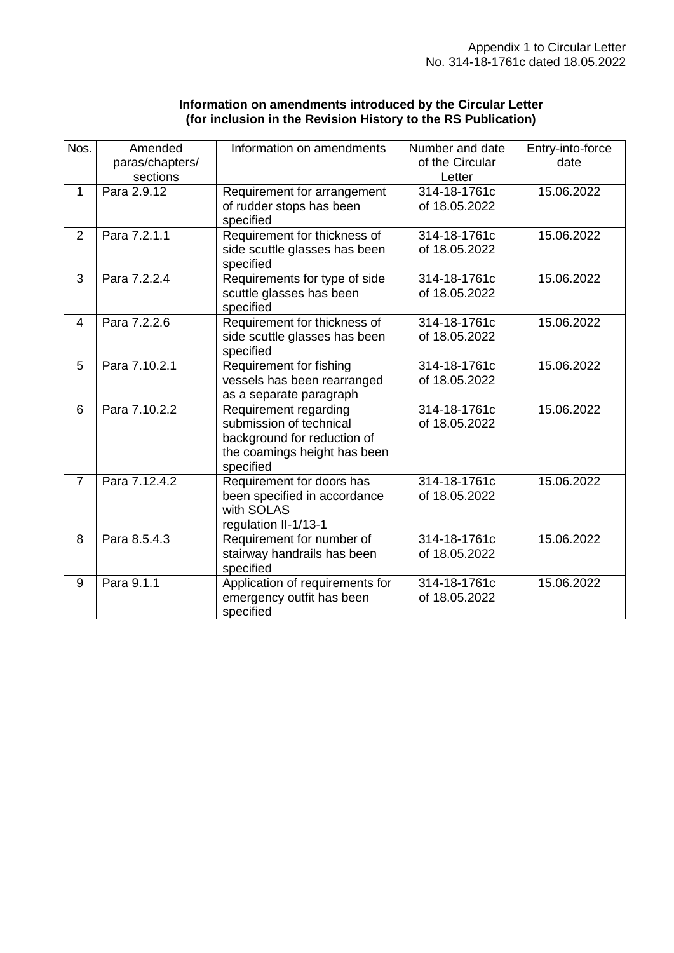| Information on amendments introduced by the Circular Letter   |  |
|---------------------------------------------------------------|--|
| (for inclusion in the Revision History to the RS Publication) |  |

| Nos.           | Amended<br>paras/chapters/<br>sections | Information on amendments                                                                                                    | Number and date<br>of the Circular<br>Letter | Entry-into-force<br>date |
|----------------|----------------------------------------|------------------------------------------------------------------------------------------------------------------------------|----------------------------------------------|--------------------------|
| $\mathbf{1}$   | Para 2.9.12                            | Requirement for arrangement<br>of rudder stops has been<br>specified                                                         | 314-18-1761c<br>of 18.05.2022                | 15.06.2022               |
| $\overline{2}$ | Para 7.2.1.1                           | Requirement for thickness of<br>side scuttle glasses has been<br>specified                                                   | 314-18-1761c<br>of 18.05.2022                | 15.06.2022               |
| 3              | Para 7.2.2.4                           | Requirements for type of side<br>scuttle glasses has been<br>specified                                                       | 314-18-1761c<br>of 18.05.2022                | 15.06.2022               |
| 4              | Para 7.2.2.6                           | Requirement for thickness of<br>side scuttle glasses has been<br>specified                                                   | 314-18-1761c<br>of 18.05.2022                | 15.06.2022               |
| 5              | Para 7.10.2.1                          | Requirement for fishing<br>vessels has been rearranged<br>as a separate paragraph                                            | 314-18-1761c<br>of 18.05.2022                | 15.06.2022               |
| 6              | Para 7.10.2.2                          | Requirement regarding<br>submission of technical<br>background for reduction of<br>the coamings height has been<br>specified | 314-18-1761c<br>of 18.05.2022                | 15.06.2022               |
| $\overline{7}$ | Para 7.12.4.2                          | Requirement for doors has<br>been specified in accordance<br>with SOLAS<br>regulation II-1/13-1                              | 314-18-1761c<br>of 18.05.2022                | 15.06.2022               |
| 8              | Para 8.5.4.3                           | Requirement for number of<br>stairway handrails has been<br>specified                                                        | 314-18-1761c<br>of 18.05.2022                | 15.06.2022               |
| 9              | Para 9.1.1                             | Application of requirements for<br>emergency outfit has been<br>specified                                                    | 314-18-1761c<br>of 18.05.2022                | 15.06.2022               |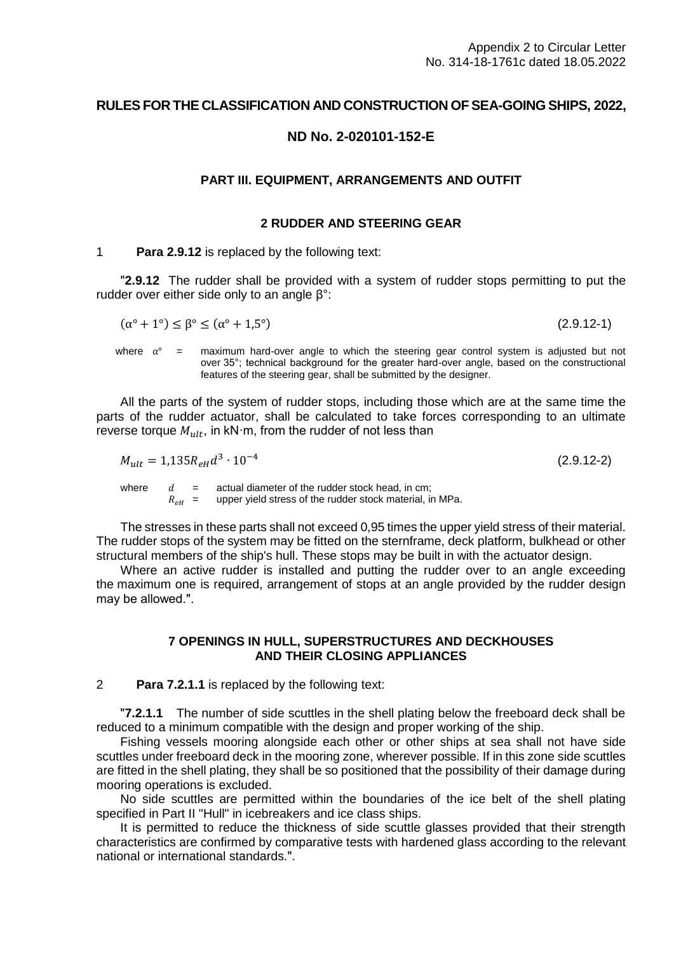# **RULES FOR THE CLASSIFICATION AND CONSTRUCTION OF SEA-GOING SHIPS, 2022,**

# **ND No. 2-020101-152-E**

### **PART III. EQUIPMENT, ARRANGEMENTS AND OUTFIT**

#### **2 RUDDER AND STEERING GEAR**

#### 1 **Para 2.9.12** is replaced by the following text:

**2.9.12** The rudder shall be provided with a system of rudder stops permitting to put the rudder over either side only to an angle β°:

$$
(\alpha^{\circ} + 1^{\circ}) \le \beta^{\circ} \le (\alpha^{\circ} + 1.5^{\circ})
$$
\n
$$
(2.9.12-1)
$$

where  $\alpha^{\circ}$  = maximum hard-over angle to which the steering gear control system is adjusted but not over 35°; technical background for the greater hard-over angle, based on the constructional features of the steering gear, shall be submitted by the designer.

All the parts of the system of rudder stops, including those which are at the same time the parts of the rudder actuator, shall be calculated to take forces corresponding to an ultimate reverse torque  $M_{n l t}$ , in kN·m, from the rudder of not less than

$$
M_{ult} = 1,135R_{eH}d^3 \cdot 10^{-4} \tag{2.9.12-2}
$$

where  $d =$  actual diameter of the rudder stock head, in cm;<br> $R_{eH} =$  upper yield stress of the rudder stock material, in upper yield stress of the rudder stock material, in MPa.

The stresses in these parts shall not exceed 0,95 times the upper yield stress of their material. The rudder stops of the system may be fitted on the sternframe, deck platform, bulkhead or other structural members of the ship's hull. These stops may be built in with the actuator design.

Where an active rudder is installed and putting the rudder over to an angle exceeding the maximum one is required, arrangement of stops at an angle provided by the rudder design may be allowed.".

## **7 OPENINGS IN HULL, SUPERSTRUCTURES AND DECKHOUSES AND THEIR CLOSING APPLIANCES**

2 **Para 7.2.1.1** is replaced by the following text:

**7.2.1.1** The number of side scuttles in the shell plating below the freeboard deck shall be reduced to a minimum compatible with the design and proper working of the ship.

Fishing vessels mooring alongside each other or other ships at sea shall not have side scuttles under freeboard deck in the mooring zone, wherever possible. If in this zone side scuttles are fitted in the shell plating, they shall be so positioned that the possibility of their damage during mooring operations is excluded.

No side scuttles are permitted within the boundaries of the ice belt of the shell plating specified in Part II "Hull" in icebreakers and ice class ships.

It is permitted to reduce the thickness of side scuttle glasses provided that their strength characteristics are confirmed by comparative tests with hardened glass according to the relevant national or international standards.".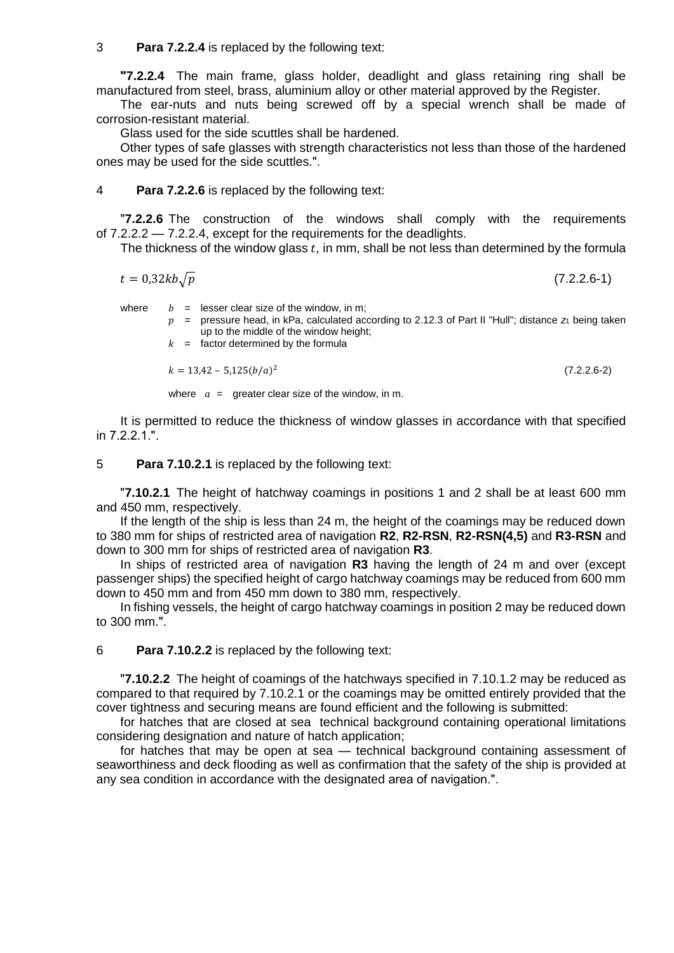3 **Para 7.2.2.4** is replaced by the following text:

**ʺ7.2.2.4** The main frame, glass holder, deadlight and glass retaining ring shall be manufactured from steel, brass, aluminium alloy or other material approved by the Register.

The ear-nuts and nuts being screwed off by a special wrench shall be made of corrosion-resistant material.

Glass used for the side scuttles shall be hardened.

Other types of safe glasses with strength characteristics not less than those of the hardened ones may be used for the side scuttles.".

4 **Para 7.2.2.6** is replaced by the following text:

ʺ**7.2.2.6** The construction of the windows shall comply with the requirements of 7.2.2.2 — 7.2.2.4, except for the requirements for the deadlights.

The thickness of the window glass *t*, in mm, shall be not less than determined by the formula

$$
t = 0.32kb\sqrt{p} \tag{7.2.2.6-1}
$$

where  $b =$  lesser clear size of the window, in m;

 $p =$  pressure head, in kPa, calculated according to 2.12.3 of Part II "Hull"; distance  $z<sub>1</sub>$  being taken up to the middle of the window height;

 $k =$  factor determined by the formula

 $k = 13,42 - 5,125(b/a)^2$ (7.2.2.6-2)

where  $a =$  greater clear size of the window, in m.

It is permitted to reduce the thickness of window glasses in accordance with that specified in  $7.2.2.1$ .".

5 **Para 7.10.2.1** is replaced by the following text:

ʺ**7.10.2.1** The height of hatchway coamings in positions 1 and 2 shall be at least 600 mm and 450 mm, respectively.

If the length of the ship is less than 24 m, the height of the coamings may be reduced down to 380 mm for ships of restricted area of navigation **R2**, **R2-RSN**, **R2-RSN(4,5)** and **R3-RSN** and down to 300 mm for ships of restricted area of navigation **R3**.

In ships of restricted area of navigation **R3** having the length of 24 m and over (except passenger ships) the specified height of cargo hatchway coamings may be reduced from 600 mm down to 450 mm and from 450 mm down to 380 mm, respectively.

In fishing vessels, the height of cargo hatchway coamings in position 2 may be reduced down to 300 mm.".

6 **Para 7.10.2.2** is replaced by the following text:

ʺ**7.10.2.2** The height of coamings of the hatchways specified in 7.10.1.2 may be reduced as compared to that required by 7.10.2.1 or the coamings may be omitted entirely provided that the cover tightness and securing means are found efficient and the following is submitted:

for hatches that are closed at sea technical background containing operational limitations considering designation and nature of hatch application;

for hatches that may be open at sea — technical background containing assessment of seaworthiness and deck flooding as well as confirmation that the safety of the ship is provided at any sea condition in accordance with the designated area of navigation.".